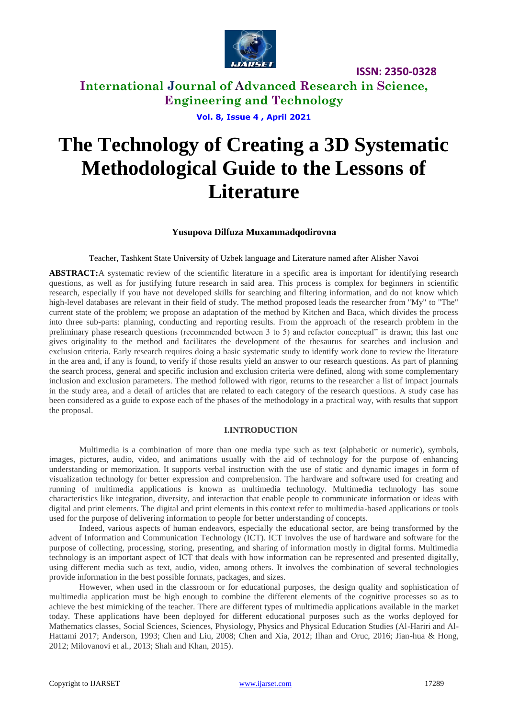

# **International Journal of Advanced Research in Science, Engineering and Technology**

**Vol. 8, Issue 4 , April 2021**

# **The Technology of Creating a 3D Systematic Methodological Guide to the Lessons of Literature**

## **Yusupova Dilfuza Muxammadqodirovna**

### Teacher, Tashkent State University of Uzbek language and Literature named after Alisher Navoi

**ABSTRACT:**A systematic review of the scientific literature in a specific area is important for identifying research questions, as well as for justifying future research in said area. This process is complex for beginners in scientific research, especially if you have not developed skills for searching and filtering information, and do not know which high-level databases are relevant in their field of study. The method proposed leads the researcher from "My" to "The" current state of the problem; we propose an adaptation of the method by Kitchen and Baca, which divides the process into three sub-parts: planning, conducting and reporting results. From the approach of the research problem in the preliminary phase research questions (recommended between 3 to 5) and refactor conceptual" is drawn; this last one gives originality to the method and facilitates the development of the thesaurus for searches and inclusion and exclusion criteria. Early research requires doing a basic systematic study to identify work done to review the literature in the area and, if any is found, to verify if those results yield an answer to our research questions. As part of planning the search process, general and specific inclusion and exclusion criteria were defined, along with some complementary inclusion and exclusion parameters. The method followed with rigor, returns to the researcher a list of impact journals in the study area, and a detail of articles that are related to each category of the research questions. A study case has been considered as a guide to expose each of the phases of the methodology in a practical way, with results that support the proposal.

#### **I.INTRODUCTION**

Multimedia is a combination of more than one media type such as text (alphabetic or numeric), symbols, images, pictures, audio, video, and animations usually with the aid of technology for the purpose of enhancing understanding or memorization. It supports verbal instruction with the use of static and dynamic images in form of visualization technology for better expression and comprehension. The hardware and software used for creating and running of multimedia applications is known as multimedia technology. Multimedia technology has some characteristics like integration, diversity, and interaction that enable people to communicate information or ideas with digital and print elements. The digital and print elements in this context refer to multimedia-based applications or tools used for the purpose of delivering information to people for better understanding of concepts.

Indeed, various aspects of human endeavors, especially the educational sector, are being transformed by the advent of Information and Communication Technology (ICT). ICT involves the use of hardware and software for the purpose of collecting, processing, storing, presenting, and sharing of information mostly in digital forms. Multimedia technology is an important aspect of ICT that deals with how information can be represented and presented digitally, using different media such as text, audio, video, among others. It involves the combination of several technologies provide information in the best possible formats, packages, and sizes.

However, when used in the classroom or for educational purposes, the design quality and sophistication of multimedia application must be high enough to combine the different elements of the cognitive processes so as to achieve the best mimicking of the teacher. There are different types of multimedia applications available in the market today. These applications have been deployed for different educational purposes such as the works deployed for Mathematics classes, Social Sciences, Sciences, Physiology, Physics and Physical Education Studies (Al-Hariri and Al-Hattami 2017; Anderson, 1993; Chen and Liu, 2008; Chen and Xia, 2012; Ilhan and Oruc, 2016; Jian-hua & Hong, 2012; Milovanovi et al., 2013; Shah and Khan, 2015).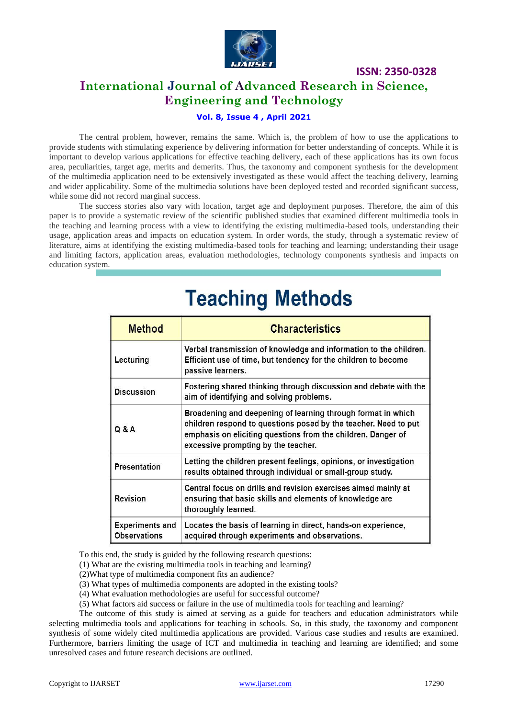

# **International Journal of Advanced Research in Science, Engineering and Technology**

## **Vol. 8, Issue 4 , April 2021**

The central problem, however, remains the same. Which is, the problem of how to use the applications to provide students with stimulating experience by delivering information for better understanding of concepts. While it is important to develop various applications for effective teaching delivery, each of these applications has its own focus area, peculiarities, target age, merits and demerits. Thus, the taxonomy and component synthesis for the development of the multimedia application need to be extensively investigated as these would affect the teaching delivery, learning and wider applicability. Some of the multimedia solutions have been deployed tested and recorded significant success, while some did not record marginal success.

The success stories also vary with location, target age and deployment purposes. Therefore, the aim of this paper is to provide a systematic review of the scientific published studies that examined different multimedia tools in the teaching and learning process with a view to identifying the existing multimedia-based tools, understanding their usage, application areas and impacts on education system. In order words, the study, through a systematic review of literature, aims at identifying the existing multimedia-based tools for teaching and learning; understanding their usage and limiting factors, application areas, evaluation methodologies, technology components synthesis and impacts on education system.

| <b>Method</b>                                 | <b>Characteristics</b>                                                                                                                                                                                                                 |
|-----------------------------------------------|----------------------------------------------------------------------------------------------------------------------------------------------------------------------------------------------------------------------------------------|
| Lecturing                                     | Verbal transmission of knowledge and information to the children.<br>Efficient use of time, but tendency for the children to become<br>passive learners.                                                                               |
| <b>Discussion</b>                             | Fostering shared thinking through discussion and debate with the<br>aim of identifying and solving problems.                                                                                                                           |
| Q & A                                         | Broadening and deepening of learning through format in which<br>children respond to questions posed by the teacher. Need to put<br>emphasis on eliciting questions from the children. Danger of<br>excessive prompting by the teacher. |
| Presentation                                  | Letting the children present feelings, opinions, or investigation<br>results obtained through individual or small-group study.                                                                                                         |
| Revision                                      | Central focus on drills and revision exercises aimed mainly at<br>ensuring that basic skills and elements of knowledge are<br>thoroughly learned.                                                                                      |
| <b>Experiments and</b><br><b>Observations</b> | Locates the basis of learning in direct, hands-on experience,<br>acquired through experiments and observations.                                                                                                                        |

# **Teaching Methods**

To this end, the study is guided by the following research questions:

(1) What are the existing multimedia tools in teaching and learning?

(2)What type of multimedia component fits an audience?

(3) What types of multimedia components are adopted in the existing tools?

(4) What evaluation methodologies are useful for successful outcome?

(5) What factors aid success or failure in the use of multimedia tools for teaching and learning?

The outcome of this study is aimed at serving as a guide for teachers and education administrators while selecting multimedia tools and applications for teaching in schools. So, in this study, the taxonomy and component synthesis of some widely cited multimedia applications are provided. Various case studies and results are examined. Furthermore, barriers limiting the usage of ICT and multimedia in teaching and learning are identified; and some unresolved cases and future research decisions are outlined.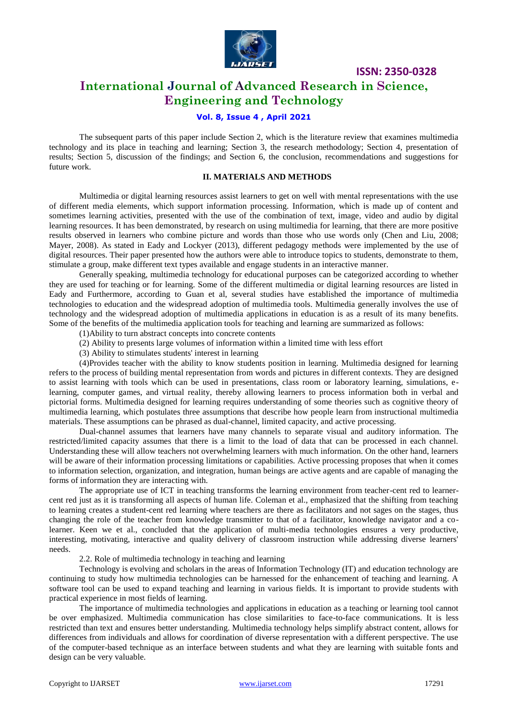

## **International Journal of Advanced Research in Science, Engineering and Technology**

### **Vol. 8, Issue 4 , April 2021**

The subsequent parts of this paper include Section 2, which is the literature review that examines multimedia technology and its place in teaching and learning; Section 3, the research methodology; Section 4, presentation of results; Section 5, discussion of the findings; and Section 6, the conclusion, recommendations and suggestions for future work.

#### **II. MATERIALS AND METHODS**

Multimedia or digital learning resources assist learners to get on well with mental representations with the use of different media elements, which support information processing. Information, which is made up of content and sometimes learning activities, presented with the use of the combination of text, image, video and audio by digital learning resources. It has been demonstrated, by research on using multimedia for learning, that there are more positive results observed in learners who combine picture and words than those who use words only (Chen and Liu, 2008; Mayer, 2008). As stated in Eady and Lockyer (2013), different pedagogy methods were implemented by the use of digital resources. Their paper presented how the authors were able to introduce topics to students, demonstrate to them, stimulate a group, make different text types available and engage students in an interactive manner.

Generally speaking, multimedia technology for educational purposes can be categorized according to whether they are used for teaching or for learning. Some of the different multimedia or digital learning resources are listed in Eady and Furthermore, according to Guan et al, several studies have established the importance of multimedia technologies to education and the widespread adoption of multimedia tools. Multimedia generally involves the use of technology and the widespread adoption of multimedia applications in education is as a result of its many benefits. Some of the benefits of the multimedia application tools for teaching and learning are summarized as follows:

- (1)Ability to turn abstract concepts into concrete contents
- (2) Ability to presents large volumes of information within a limited time with less effort
- (3) Ability to stimulates students' interest in learning

(4)Provides teacher with the ability to know students position in learning. Multimedia designed for learning refers to the process of building mental representation from words and pictures in different contexts. They are designed to assist learning with tools which can be used in presentations, class room or laboratory learning, simulations, elearning, computer games, and virtual reality, thereby allowing learners to process information both in verbal and pictorial forms. Multimedia designed for learning requires understanding of some theories such as cognitive theory of multimedia learning, which postulates three assumptions that describe how people learn from instructional multimedia materials. These assumptions can be phrased as dual-channel, limited capacity, and active processing.

Dual-channel assumes that learners have many channels to separate visual and auditory information. The restricted/limited capacity assumes that there is a limit to the load of data that can be processed in each channel. Understanding these will allow teachers not overwhelming learners with much information. On the other hand, learners will be aware of their information processing limitations or capabilities. Active processing proposes that when it comes to information selection, organization, and integration, human beings are active agents and are capable of managing the forms of information they are interacting with.

The appropriate use of ICT in teaching transforms the learning environment from teacher-cent red to learnercent red just as it is transforming all aspects of human life. Coleman et al., emphasized that the shifting from teaching to learning creates a student-cent red learning where teachers are there as facilitators and not sages on the stages, thus changing the role of the teacher from knowledge transmitter to that of a facilitator, knowledge navigator and a colearner. Keen we et al., concluded that the application of multi-media technologies ensures a very productive, interesting, motivating, interactive and quality delivery of classroom instruction while addressing diverse learners' needs.

2.2. Role of multimedia technology in teaching and learning

Technology is evolving and scholars in the areas of Information Technology (IT) and education technology are continuing to study how multimedia technologies can be harnessed for the enhancement of teaching and learning. A software tool can be used to expand teaching and learning in various fields. It is important to provide students with practical experience in most fields of learning.

The importance of multimedia technologies and applications in education as a teaching or learning tool cannot be over emphasized. Multimedia communication has close similarities to face-to-face communications. It is less restricted than text and ensures better understanding. Multimedia technology helps simplify abstract content, allows for differences from individuals and allows for coordination of diverse representation with a different perspective. The use of the computer-based technique as an interface between students and what they are learning with suitable fonts and design can be very valuable.